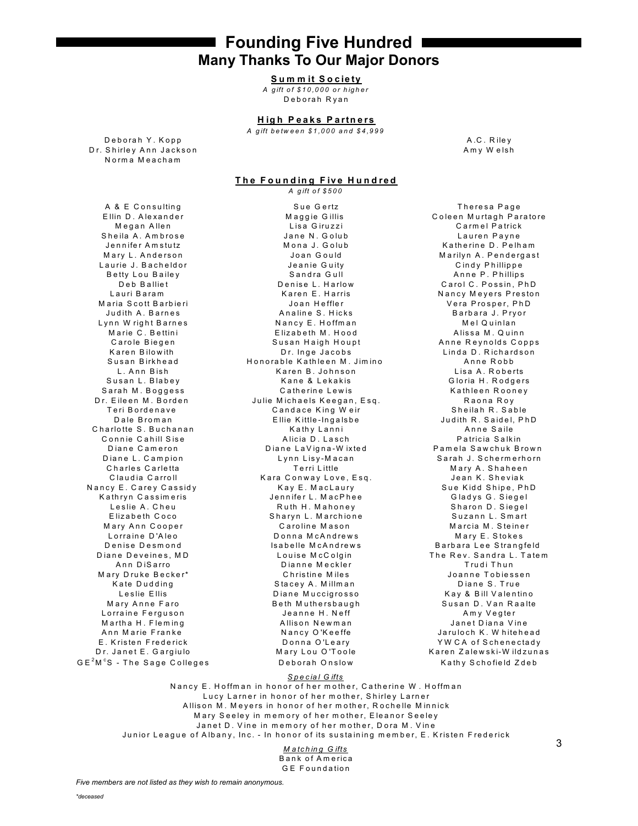**Founding Five Hundred Many Thanks To Our Major Donors** 

### Summit Society

A gift of \$10,000 or higher Deborah Ryan

#### **High Peaks Partners**

A gift between \$1,000 and \$4,999

Deborah Y. Kopp Dr. Shirley Ann Jackson Norma Meacham

A.C. Rilev Amy Welsh

#### The Founding Five Hundred A aift of \$500

A & E Consulting Ellin D. Alexander Megan Allen Sheila A. Ambrose Jennifer Amstutz Mary L. Anderson Laurie J. Bacheldor Betty Lou Bailey Deb Balliet Lauri Baram Maria Scott Barbieri Judith A. Barnes Lynn Wright Barnes Marie C. Bettini Carole Biegen Karen Bilowith Susan Birkhead L. Ann Bish Susan L. Blabey Sarah M. Boggess Dr. Eileen M. Borden Teri Bordenave Dale Broman Charlotte S. Buchanan Connie Cahill Sise Diane Cameron Diane L. Campion Charles Carletta Claudia Carroll Nancy E. Carey Cassidy Kathryn Cassimeris Leslie A. Cheu Flizabeth Coco Mary Ann Cooper Lorraine D'Aleo Denise Desmond Diane Deveines MD Ann DiSarro Mary Druke Becker\* Kate Dudding Leslie Ellis Mary Anne Faro Lorraine Ferguson Martha H. Fleming Ann Marie Franke E. Kristen Frederick Dr. Janet E. Gargiulo  $GE<sup>2</sup>M<sup>c</sup>S$  - The Sage Colleges

Sue Gertz Maggie Gillis Lisa Giruzzi Jane N. Golub Mona J. Golub Joan Gould Jeanie Guity Sandra Gull Denise L. Harlow Karen E. Harris Joan Heffler Analine S. Hicks Nancy E. Hoffman Elizabeth M. Hood Susan Haigh Houpt Dr. Inge Jacobs Honorable Kathleen M. Jimino Karen B. Johnson Kane & Lekakis Catherine Lewis Julie Michaels Keegan, Esq. Candace King Weir Ellie Kittle-Ingalsbe Kathy Lanni Alicia D. Lasch Diane LaVigna-Wixted Lynn Lisy-Macan Terri Little Kara Conway Love, Esq. Kay E. MacLaury Jennifer L. MacPhee Ruth H. Mahoney Sharyn L. Marchione Caroline Mason Donna McAndrews Isabelle McAndrews Louise McColgin Dianne Meckler Christine Miles Stacey A. Millman Diane Muccigrosso Beth Muthersbaugh Jeanne H. Neff Allison Newman Nancy O'Keeffe Donna O'Leary Mary Lou O'Toole Deborah Onslow

Theresa Page Coleen Murtagh Paratore Carmel Patrick Lauren Payne Katherine D. Pelham Marilyn A. Pendergast Cindy Phillippe Anne P. Phillips Carol C. Possin, PhD Nancy Meyers Preston Vera Prosper, PhD Barbara J. Pryor Mel Quinlan Alissa M. Quinn Anne Revnolds Copps Linda D. Richardson Anne Robb Lisa A. Roberts Gloria H. Rodgers Kathleen Rooney Ranna Roy Sheilah R. Sable Judith R Saidel PhD Anne Saile Patricia Salkin Pamela Sawchuk Brown Sarah J. Schermerhorn Mary A. Shaheen Jean K. Sheviak Sue Kidd Shipe, PhD Gladys G. Siegel Sharon D. Siegel Suzann L. Smart Marcia M. Steiner Mary E. Stokes Barbara Lee Strangfeld The Rev. Sandra L. Tatem Trudi Thun Joanne Tobiessen Diane S. True Kay & Bill Valentino Susan D. Van Raalte Amy Vegter Janet Diana Vine Jaruloch K. Whitehead YW CA of Schenectady Karen Zalewski-Wildzunas Kathy Schofield Zdeb

### Special Gifts

Nancy E. Hoffman in honor of her mother, Catherine W. Hoffman Lucy Larner in honor of her mother, Shirley Larner Allison M. Meyers in honor of her mother, Rochelle Minnick Mary Seeley in memory of her mother, Eleanor Seeley Janet D. Vine in memory of her mother, Dora M. Vine Junior League of Albany, Inc. - In honor of its sustaining member, E. Kristen Frederick

> Matching Gifts **Bank of America GE Foundation**

3